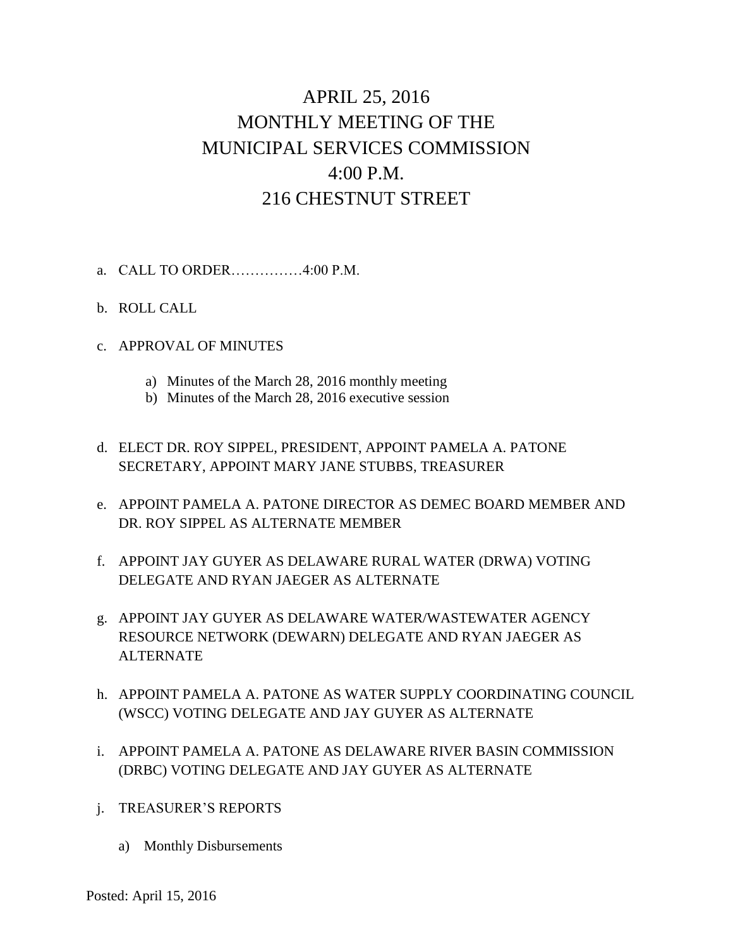# APRIL 25, 2016 MONTHLY MEETING OF THE MUNICIPAL SERVICES COMMISSION 4:00 P.M. 216 CHESTNUT STREET

- a. CALL TO ORDER……………4:00 P.M.
- b. ROLL CALL
- c. APPROVAL OF MINUTES
	- a) Minutes of the March 28, 2016 monthly meeting
	- b) Minutes of the March 28, 2016 executive session
- d. ELECT DR. ROY SIPPEL, PRESIDENT, APPOINT PAMELA A. PATONE SECRETARY, APPOINT MARY JANE STUBBS, TREASURER
- e. APPOINT PAMELA A. PATONE DIRECTOR AS DEMEC BOARD MEMBER AND DR. ROY SIPPEL AS ALTERNATE MEMBER
- f. APPOINT JAY GUYER AS DELAWARE RURAL WATER (DRWA) VOTING DELEGATE AND RYAN JAEGER AS ALTERNATE
- g. APPOINT JAY GUYER AS DELAWARE WATER/WASTEWATER AGENCY RESOURCE NETWORK (DEWARN) DELEGATE AND RYAN JAEGER AS ALTERNATE
- h. APPOINT PAMELA A. PATONE AS WATER SUPPLY COORDINATING COUNCIL (WSCC) VOTING DELEGATE AND JAY GUYER AS ALTERNATE
- i. APPOINT PAMELA A. PATONE AS DELAWARE RIVER BASIN COMMISSION (DRBC) VOTING DELEGATE AND JAY GUYER AS ALTERNATE
- j. TREASURER'S REPORTS
	- a) Monthly Disbursements